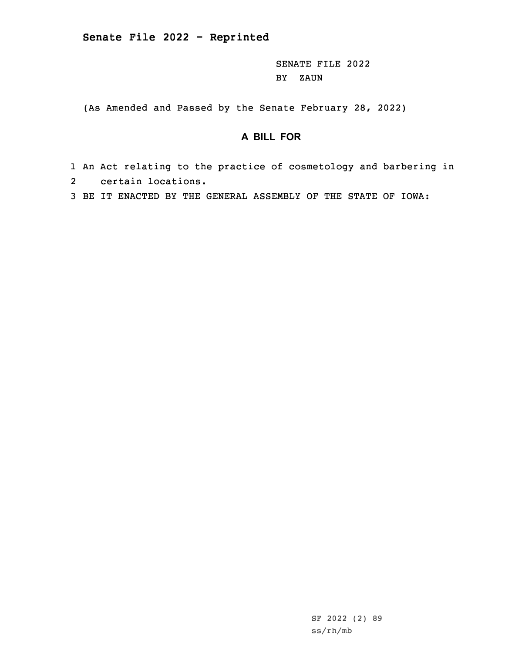SENATE FILE 2022 BY ZAUN

(As Amended and Passed by the Senate February 28, 2022)

## **A BILL FOR**

- 1 An Act relating to the practice of cosmetology and barbering in 2 certain locations.
- 3 BE IT ENACTED BY THE GENERAL ASSEMBLY OF THE STATE OF IOWA: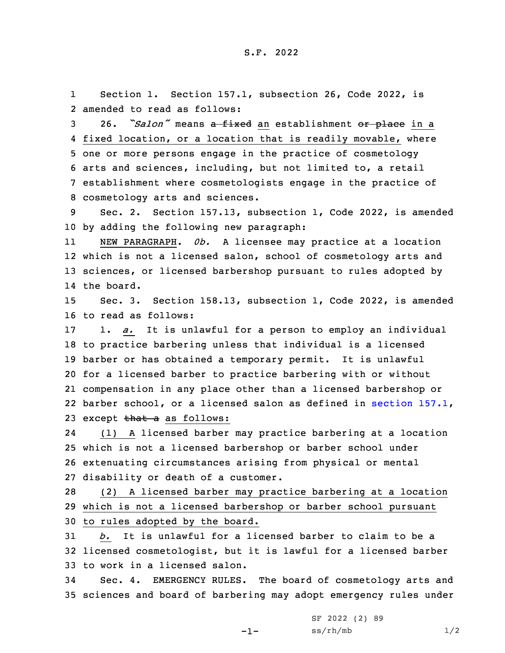1Section 1. Section 157.1, subsection 26, Code 2022, is 2 amended to read as follows:

 26. *"Salon"* means <sup>a</sup> fixed an establishment or place in <sup>a</sup> fixed location, or <sup>a</sup> location that is readily movable, where one or more persons engage in the practice of cosmetology arts and sciences, including, but not limited to, <sup>a</sup> retail establishment where cosmetologists engage in the practice of cosmetology arts and sciences.

9 Sec. 2. Section 157.13, subsection 1, Code 2022, is amended 10 by adding the following new paragraph:

11 NEW PARAGRAPH. *0b.* <sup>A</sup> licensee may practice at <sup>a</sup> location 12 which is not <sup>a</sup> licensed salon, school of cosmetology arts and 13 sciences, or licensed barbershop pursuant to rules adopted by 14 the board.

15 Sec. 3. Section 158.13, subsection 1, Code 2022, is amended 16 to read as follows:

 1. *a.* It is unlawful for <sup>a</sup> person to employ an individual to practice barbering unless that individual is <sup>a</sup> licensed barber or has obtained <sup>a</sup> temporary permit. It is unlawful for <sup>a</sup> licensed barber to practice barbering with or without compensation in any place other than <sup>a</sup> licensed barbershop or barber school, or <sup>a</sup> licensed salon as defined in [section](https://www.legis.iowa.gov/docs/code/2022/157.1.pdf) 157.1, 23 except that a as follows:

24 (1) <sup>A</sup> licensed barber may practice barbering at <sup>a</sup> location 25 which is not <sup>a</sup> licensed barbershop or barber school under 26 extenuating circumstances arising from physical or mental 27 disability or death of <sup>a</sup> customer.

28 (2) <sup>A</sup> licensed barber may practice barbering at <sup>a</sup> location 29 which is not <sup>a</sup> licensed barbershop or barber school pursuant 30 to rules adopted by the board.

31 *b.* It is unlawful for <sup>a</sup> licensed barber to claim to be <sup>a</sup> 32 licensed cosmetologist, but it is lawful for <sup>a</sup> licensed barber 33 to work in <sup>a</sup> licensed salon.

34 Sec. 4. EMERGENCY RULES. The board of cosmetology arts and 35 sciences and board of barbering may adopt emergency rules under

-1-

SF 2022 (2) 89  $ss/rh/mb$  1/2